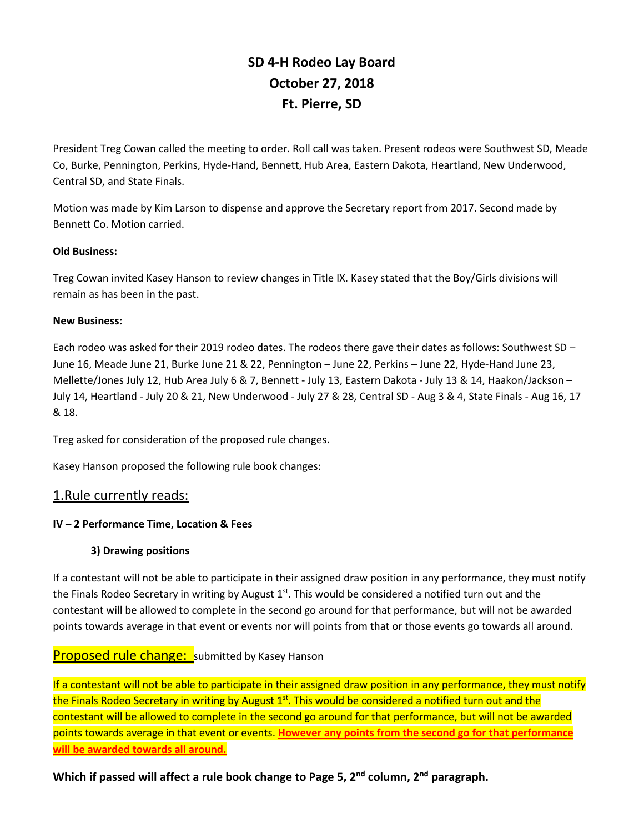# **SD 4-H Rodeo Lay Board October 27, 2018 Ft. Pierre, SD**

President Treg Cowan called the meeting to order. Roll call was taken. Present rodeos were Southwest SD, Meade Co, Burke, Pennington, Perkins, Hyde-Hand, Bennett, Hub Area, Eastern Dakota, Heartland, New Underwood, Central SD, and State Finals.

Motion was made by Kim Larson to dispense and approve the Secretary report from 2017. Second made by Bennett Co. Motion carried.

#### **Old Business:**

Treg Cowan invited Kasey Hanson to review changes in Title IX. Kasey stated that the Boy/Girls divisions will remain as has been in the past.

#### **New Business:**

Each rodeo was asked for their 2019 rodeo dates. The rodeos there gave their dates as follows: Southwest SD – June 16, Meade June 21, Burke June 21 & 22, Pennington – June 22, Perkins – June 22, Hyde-Hand June 23, Mellette/Jones July 12, Hub Area July 6 & 7, Bennett - July 13, Eastern Dakota - July 13 & 14, Haakon/Jackson – July 14, Heartland - July 20 & 21, New Underwood - July 27 & 28, Central SD - Aug 3 & 4, State Finals - Aug 16, 17 & 18.

Treg asked for consideration of the proposed rule changes.

Kasey Hanson proposed the following rule book changes:

## 1.Rule currently reads:

## **IV – 2 Performance Time, Location & Fees**

#### **3) Drawing positions**

If a contestant will not be able to participate in their assigned draw position in any performance, they must notify the Finals Rodeo Secretary in writing by August  $1<sup>st</sup>$ . This would be considered a notified turn out and the contestant will be allowed to complete in the second go around for that performance, but will not be awarded points towards average in that event or events nor will points from that or those events go towards all around.

# **Proposed rule change:** submitted by Kasey Hanson

If a contestant will not be able to participate in their assigned draw position in any performance, they must notify the Finals Rodeo Secretary in writing by August 1<sup>st</sup>. This would be considered a notified turn out and the contestant will be allowed to complete in the second go around for that performance, but will not be awarded points towards average in that event or events. **However any points from the second go for that performance will be awarded towards all around.**

**Which if passed will affect a rule book change to Page 5, 2nd column, 2nd paragraph.**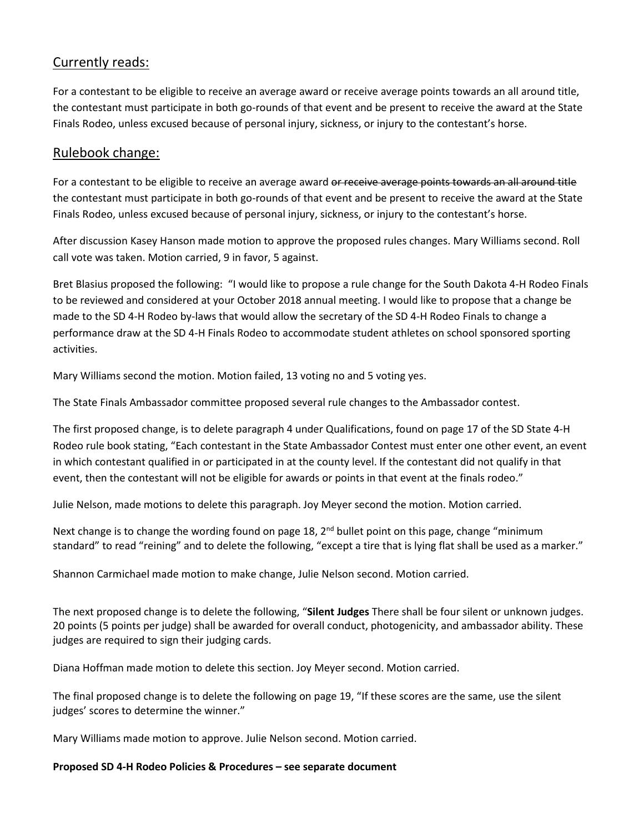# Currently reads:

For a contestant to be eligible to receive an average award or receive average points towards an all around title, the contestant must participate in both go-rounds of that event and be present to receive the award at the State Finals Rodeo, unless excused because of personal injury, sickness, or injury to the contestant's horse.

# Rulebook change:

For a contestant to be eligible to receive an average award or receive average points towards an all around title the contestant must participate in both go-rounds of that event and be present to receive the award at the State Finals Rodeo, unless excused because of personal injury, sickness, or injury to the contestant's horse.

After discussion Kasey Hanson made motion to approve the proposed rules changes. Mary Williams second. Roll call vote was taken. Motion carried, 9 in favor, 5 against.

Bret Blasius proposed the following: "I would like to propose a rule change for the South Dakota 4-H Rodeo Finals to be reviewed and considered at your October 2018 annual meeting. I would like to propose that a change be made to the SD 4-H Rodeo by-laws that would allow the secretary of the SD 4-H Rodeo Finals to change a performance draw at the SD 4-H Finals Rodeo to accommodate student athletes on school sponsored sporting activities.

Mary Williams second the motion. Motion failed, 13 voting no and 5 voting yes.

The State Finals Ambassador committee proposed several rule changes to the Ambassador contest.

The first proposed change, is to delete paragraph 4 under Qualifications, found on page 17 of the SD State 4-H Rodeo rule book stating, "Each contestant in the State Ambassador Contest must enter one other event, an event in which contestant qualified in or participated in at the county level. If the contestant did not qualify in that event, then the contestant will not be eligible for awards or points in that event at the finals rodeo."

Julie Nelson, made motions to delete this paragraph. Joy Meyer second the motion. Motion carried.

Next change is to change the wording found on page 18, 2<sup>nd</sup> bullet point on this page, change "minimum standard" to read "reining" and to delete the following, "except a tire that is lying flat shall be used as a marker."

Shannon Carmichael made motion to make change, Julie Nelson second. Motion carried.

The next proposed change is to delete the following, "**Silent Judges** There shall be four silent or unknown judges. 20 points (5 points per judge) shall be awarded for overall conduct, photogenicity, and ambassador ability. These judges are required to sign their judging cards.

Diana Hoffman made motion to delete this section. Joy Meyer second. Motion carried.

The final proposed change is to delete the following on page 19, "If these scores are the same, use the silent judges' scores to determine the winner."

Mary Williams made motion to approve. Julie Nelson second. Motion carried.

**Proposed SD 4-H Rodeo Policies & Procedures – see separate document**